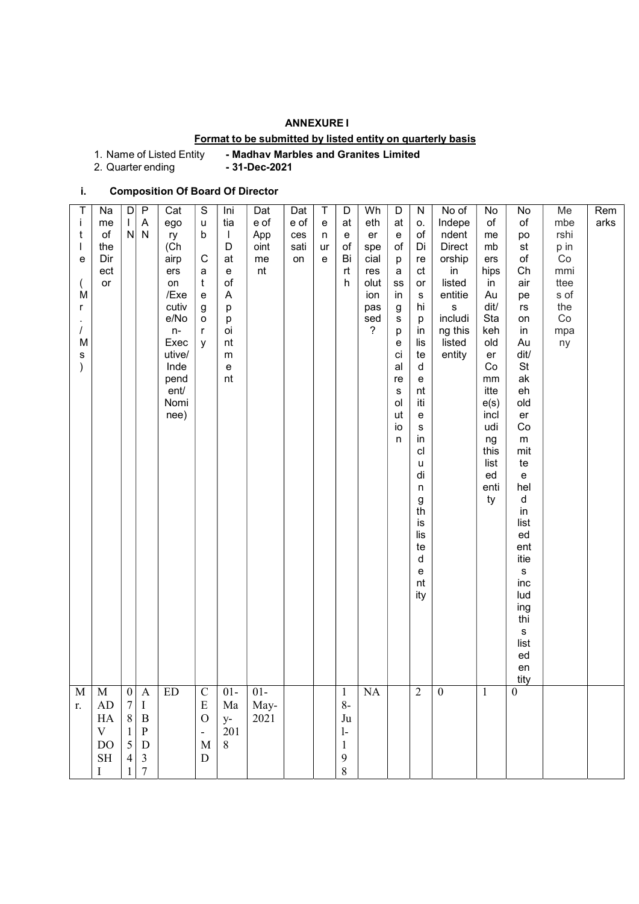## ANNEXURE I

# Format to be submitted by listed entity on quarterly basis

1. Name of Listed Entity - Madhav Marbles and Granites Limited<br>2. Quarter ending - 31-Dec-2021

2. Quarter ending

# i. Composition Of Board Of Director

| T<br>İ<br>t                             | Na<br>me<br>of                                                   | $\mathsf{D}$<br>$\mathbf{L}$                                   | $\mathsf{P}$<br>$\boldsymbol{\mathsf{A}}$<br>$N$ $N$                                                                                                                         | Cat<br>ego<br>ry                                                                                                     | S<br>u<br>b                                                                                                     | Ini<br>tia<br>$\mathbf{I}$                                                          | Dat<br>e of<br>App     | Dat<br>e of<br>ces | Τ<br>${\bf e}$<br>n | D<br>at<br>e                                                                                        | Wh<br>eth<br>er                                                   | D<br>at<br>e                                                                                                 | ${\sf N}$<br>0.<br>of                                                                                                                                                             | No of<br>Indepe<br>ndent                                                                                    | No<br>of<br>me                                                                                                                                            | No<br>$\circ f$<br>po                                                                                                                                                                                                                            | Me<br>mbe<br>rshi                                           | Rem<br>arks |  |
|-----------------------------------------|------------------------------------------------------------------|----------------------------------------------------------------|------------------------------------------------------------------------------------------------------------------------------------------------------------------------------|----------------------------------------------------------------------------------------------------------------------|-----------------------------------------------------------------------------------------------------------------|-------------------------------------------------------------------------------------|------------------------|--------------------|---------------------|-----------------------------------------------------------------------------------------------------|-------------------------------------------------------------------|--------------------------------------------------------------------------------------------------------------|-----------------------------------------------------------------------------------------------------------------------------------------------------------------------------------|-------------------------------------------------------------------------------------------------------------|-----------------------------------------------------------------------------------------------------------------------------------------------------------|--------------------------------------------------------------------------------------------------------------------------------------------------------------------------------------------------------------------------------------------------|-------------------------------------------------------------|-------------|--|
| e<br>M<br>r<br>M<br>s                   | the<br>Dir<br>ect<br>or                                          |                                                                |                                                                                                                                                                              | (Ch)<br>airp<br>ers<br>on<br>/Exe<br>cutiv<br>e/No<br>$n-$<br>Exec<br>utive/<br>Inde<br>pend<br>ent/<br>Nomi<br>nee) | $\mathsf C$<br>a<br>t<br>$\mathsf{e}% _{t}\left( t\right)$<br>g<br>$\mathsf{o}$<br>r<br>у                       | D<br>at<br>e<br>of<br>$\overline{\mathsf{A}}$<br>р<br>p<br>oi<br>nt<br>m<br>e<br>nt | oint<br>me<br>nt       | sati<br>on         | ur<br>e             | of<br>Bi<br>rt<br>h                                                                                 | spe<br>cial<br>res<br>olut<br>ion<br>pas<br>sed<br>$\overline{?}$ | of<br>p<br>a<br>${\tt SS}$<br>in<br>g<br>$\mathbf s$<br>p<br>e<br>ci<br>al<br>re<br>s<br>ol<br>ut<br>io<br>n | Di<br>re<br>ct<br>or<br>${\bf s}$<br>hi<br>р<br>in<br>lis<br>te<br>d<br>e<br>nt<br>iti<br>e<br>s<br>in<br>cl<br>u<br>di<br>n<br>g<br>th<br>is<br>lis<br>te<br>d<br>e<br>nt<br>ity | <b>Direct</b><br>orship<br>in<br>listed<br>entitie<br>$\mathbf s$<br>includi<br>ng this<br>listed<br>entity | mb<br>ers<br>hips<br>in<br>Au<br>dit/<br>Sta<br>keh<br>old<br>er<br>Co<br>$\,mm$<br>itte<br>e(s)<br>incl<br>udi<br>ng<br>this<br>list<br>ed<br>enti<br>ty | st<br>of<br>Ch<br>air<br>pe<br>rs<br>on<br>in<br>Au<br>dit/<br>St<br>ak<br>eh<br>old<br>er<br>Co<br>${\sf m}$<br>mit<br>te<br>e<br>hel<br>d<br>in<br>list<br>ed<br>ent<br>itie<br>s<br>inc<br>lud<br>ing<br>thi<br>s<br>list<br>ed<br>en<br>tity | p in<br>Co<br>mmi<br>ttee<br>s of<br>the<br>Co<br>mpa<br>ny |             |  |
| $\overline{\text{M}}$<br>$\mathbf{r}$ . | $\mathbf M$<br>AD<br>${\rm HA}$<br>$\mathbf V$<br>$\rm DO$<br>SH | 8 <sup>1</sup><br>$1\vert$<br>$\mathfrak{S}$<br>$\overline{4}$ | $\overline{\begin{array}{c} 0 \\ 7 \end{array}}$ $\overline{\begin{array}{c} 1 \end{array}}$<br>$\overline{A}$<br>$\, {\bf B}$<br>$\, {\bf p}$<br>${\bf D}$<br>$\frac{3}{7}$ | ED                                                                                                                   | $\begin{array}{c} \text{C} \\ \text{E} \\ \text{O} \end{array}$<br>$\frac{1}{\pi}$<br>$\mathbf{M}$<br>${\bf D}$ | $01-$<br>$\rm{Ma}$<br>$\frac{y}{201}$<br>8                                          | $01 -$<br>May-<br>2021 |                    |                     | $\mathbf{1}$<br>$8-$<br>Ju<br>$\mathbf{I}$<br>$\mathbf{1}$<br>$\begin{array}{c} 9 \\ 8 \end{array}$ | $\overline{\text{NA}}$                                            |                                                                                                              | $\mathfrak{2}$                                                                                                                                                                    | $\overline{0}$                                                                                              | $\mathbf{1}$                                                                                                                                              | $\overline{0}$                                                                                                                                                                                                                                   |                                                             |             |  |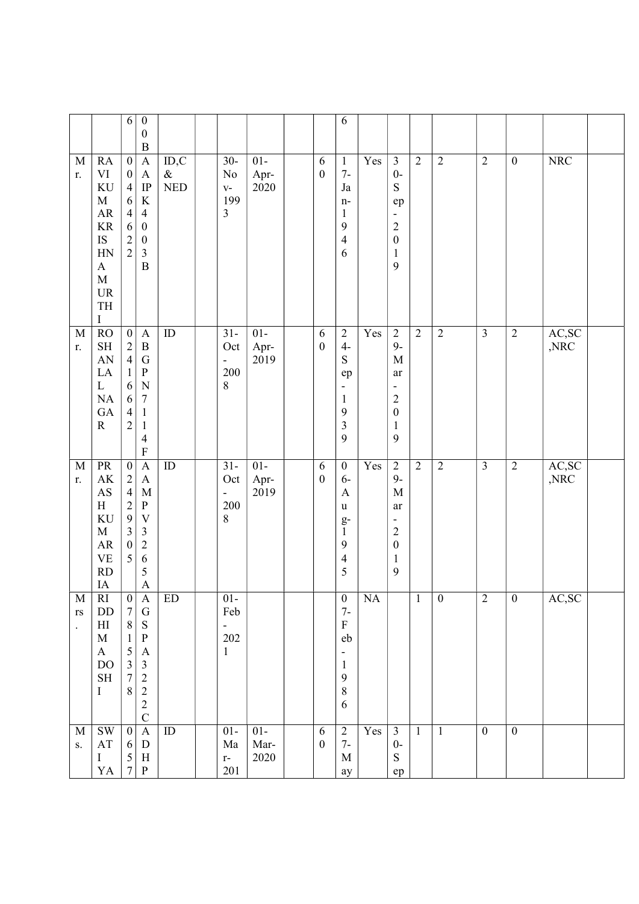|                                                     |                                                                                                                                                           | 6                                                                                                                           | $\boldsymbol{0}$<br>$\boldsymbol{0}$<br>$\boldsymbol{B}$                                                                                                                |                             |                                                        |                                        |                       | 6                                                                                                                 |                   |                                                                                                                        |                |                  |                         |                  |                         |  |
|-----------------------------------------------------|-----------------------------------------------------------------------------------------------------------------------------------------------------------|-----------------------------------------------------------------------------------------------------------------------------|-------------------------------------------------------------------------------------------------------------------------------------------------------------------------|-----------------------------|--------------------------------------------------------|----------------------------------------|-----------------------|-------------------------------------------------------------------------------------------------------------------|-------------------|------------------------------------------------------------------------------------------------------------------------|----------------|------------------|-------------------------|------------------|-------------------------|--|
| $\mathbf M$<br>r.                                   | RA<br>VI<br>KU<br>$\mathbf{M}$<br>${\sf AR}$<br><b>KR</b><br>IS<br>HN<br>$\mathbf A$<br>$\mathbf M$<br>$\ensuremath{\mathsf{UR}}\xspace$<br>TH<br>$\bf I$ | $\boldsymbol{0}$<br>$\boldsymbol{0}$<br>$\overline{4}$<br>6<br>$\overline{4}$<br>6<br>$\sqrt{2}$<br>$\overline{2}$          | $\boldsymbol{A}$<br>$\mathbf{A}$<br>IP<br>$\rm K$<br>$\overline{4}$<br>$\boldsymbol{0}$<br>$\boldsymbol{0}$<br>$\mathfrak{Z}$<br>$\overline{B}$                         | ID, C<br>$\&$<br><b>NED</b> | $\overline{30}$ -<br>No<br>$V -$<br>199<br>3           | $01-$<br>Apr-<br>2020                  | 6<br>$\boldsymbol{0}$ | $\mathbf{1}$<br>$7-$<br>Ja<br>n-<br>$\mathbf{1}$<br>9<br>4<br>6                                                   | Yes               | $\mathfrak{Z}$<br>$0-$<br>${\bf S}$<br>ep<br>$\overline{a}$<br>$\sqrt{2}$<br>$\boldsymbol{0}$<br>$\mathbf{1}$<br>9     | $\overline{2}$ | $\mathbf{2}$     | $\overline{2}$          | $\boldsymbol{0}$ | <b>NRC</b>              |  |
| M<br>r.                                             | <b>RO</b><br>$\operatorname{SH}$<br>AN<br>$\rm LA$<br>L<br>$\rm NA$<br>${\rm GA}$<br>$\mathbf R$                                                          | $\boldsymbol{0}$<br>$\overline{c}$<br>$\overline{4}$<br>1<br>6<br>6<br>$\overline{4}$<br>$\mathfrak{2}$                     | $\boldsymbol{\mathsf{A}}$<br>$\, {\bf B}$<br>${\bf G}$<br>${\bf P}$<br>$\mathbf N$<br>$\boldsymbol{7}$<br>$\mathbf{1}$<br>$\mathbf{1}$<br>$\overline{4}$<br>$\mathbf F$ | ID                          | $31 -$<br>Oct<br>$\overline{\phantom{0}}$<br>200<br>8  | $01-$<br>Apr-<br>2019                  | 6<br>$\boldsymbol{0}$ | $\sqrt{2}$<br>$4-$<br>${\bf S}$<br>ep<br>$\qquad \qquad \blacksquare$<br>$\mathbf{1}$<br>9<br>$\mathfrak{Z}$<br>9 | $\overline{Y}$ es | $\sqrt{2}$<br>$9-$<br>$\mathbf M$<br>ar<br>-<br>$\overline{c}$<br>$\boldsymbol{0}$<br>$\mathbf{1}$<br>9                | $\sqrt{2}$     | $\overline{2}$   | $\overline{\mathbf{3}}$ | $\boldsymbol{2}$ | AC,SC<br>,NRC           |  |
| $\mathbf{M}$<br>r.                                  | PR<br>$\mathbf{A}\mathbf{K}$<br>$\mathbf{A}\mathbf{S}$<br>H<br>KU<br>$\mathbf M$<br>AR<br>$\ensuremath{\mathbf{VE}}$<br>RD<br>IA                          | $\overline{0}$<br>$\sqrt{2}$<br>$\overline{4}$<br>$\overline{2}$<br>$\mathbf{9}$<br>$\mathfrak{Z}$<br>$\boldsymbol{0}$<br>5 | $\mathbf{A}$<br>$\boldsymbol{\mathsf{A}}$<br>$\mathbf M$<br>${\bf P}$<br>$\mathbf V$<br>$\mathfrak{Z}$<br>$\overline{c}$<br>6<br>5<br>$\boldsymbol{\rm{A}}$             | ID                          | $31 -$<br>Oct<br>200<br>8                              | $01-$<br>Apr-<br>2019                  | 6<br>$\boldsymbol{0}$ | $\boldsymbol{0}$<br>$6-$<br>$\mathbf{A}$<br>u<br>$g-$<br>$\mathbf{1}$<br>9<br>4<br>5                              | Yes               | $\overline{2}$<br>$9-$<br>$\mathbf M$<br>ar<br>۰<br>$\overline{c}$<br>$\boldsymbol{0}$<br>$\mathbf{1}$<br>$\mathbf{9}$ | $\overline{2}$ | $\overline{2}$   | $\overline{\mathbf{3}}$ | $\overline{2}$   | AC,SC<br>$,\!{\rm NRC}$ |  |
| M<br>$\mathbf{r}\mathbf{s}$<br>$\ddot{\phantom{0}}$ | <sub>RI</sub><br>$\rm DD$<br>$\mathop{\rm HI}\nolimits$<br>$\mathbf M$<br>$\bf{A}$<br>$\rm DO$<br>$\operatorname{SH}$<br>$\bf{I}$                         | $\boldsymbol{0}$<br>$\tau$<br>$\,8\,$<br>1<br>5<br>$\overline{\mathbf{3}}$<br>$\overline{7}$<br>$8\,$                       | A<br>${\bf G}$<br>${\bf S}$<br>${\bf P}$<br>$\boldsymbol{A}$<br>$\mathfrak{Z}$<br>$\overline{c}$<br>$\sqrt{2}$<br>$\sqrt{2}$<br>$\overline{C}$                          | ED                          | $01 -$<br>Feb<br>$\blacksquare$<br>202<br>$\mathbf{1}$ |                                        |                       | $\boldsymbol{0}$<br>$7-$<br>${\bf F}$<br>eb<br>-<br>$\mathbf{1}$<br>9<br>$8\,$<br>6                               | NA                |                                                                                                                        | $\mathbf{1}$   | $\boldsymbol{0}$ | $\overline{2}$          | $\boldsymbol{0}$ | AC, SC                  |  |
| $\mathbf M$<br>S.                                   | $\mathrm{SW}$<br>$\mathbf{A}\mathbf{T}$<br>$\bf I$<br>${\rm YA}$                                                                                          | $\vert 0 \vert$<br>6<br>$5\overline{)}$<br>$7\vert$                                                                         | $\mathbf A$<br>${\bf D}$<br>$\boldsymbol{\mathrm{H}}$<br>${\bf P}$                                                                                                      | ID                          | $01-$<br>Ma<br>$\mathbf{r}$ -<br>201                   | $01-$<br>$\operatorname{Mar-}$<br>2020 | 6<br>$\boldsymbol{0}$ | $\mathbf{2}$<br>$7-$<br>$\mathbf M$<br>ay                                                                         | $\overline{Yes}$  | $\overline{3}$<br>$0-$<br>${\bf S}$<br>ep                                                                              | $\mathbf{1}$   | $\mathbf{1}$     | $\overline{0}$          | $\mathbf{0}$     |                         |  |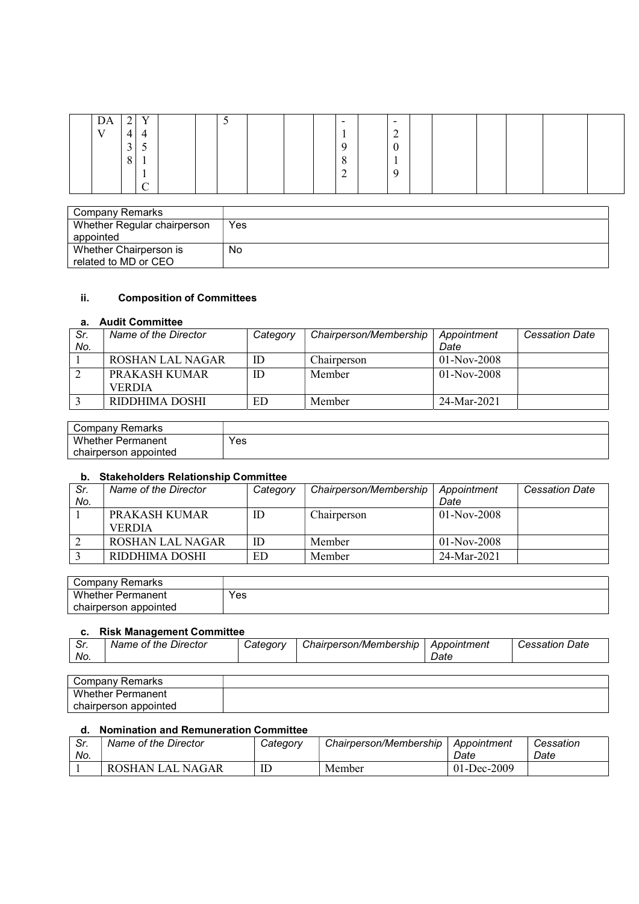| DA           | ◠<br>∸ | $\mathbf{V}$    |  | ັ |  | $\overline{\phantom{0}}$ | $\overline{\phantom{0}}$ |  |  |  |
|--------------|--------|-----------------|--|---|--|--------------------------|--------------------------|--|--|--|
| $\mathbf{V}$ | 4      | 4               |  |   |  |                          | $\sim$<br>$\overline{ }$ |  |  |  |
|              | 3      | ◡               |  |   |  | a                        | $\curvearrowright$<br>0  |  |  |  |
|              | 8      | $\mathbf{r}$    |  |   |  | $\Omega$<br>$\circ$      | $\mathbf{r}$             |  |  |  |
|              |        | л.              |  |   |  | ◠<br>∠                   | Q                        |  |  |  |
|              |        | $\sqrt{ }$<br>◡ |  |   |  |                          |                          |  |  |  |

| Company Remarks             |     |
|-----------------------------|-----|
| Whether Regular chairperson | Yes |
| appointed                   |     |
| Whether Chairperson is      | No  |
| related to MD or CEO        |     |

### ii. Composition of Committees

#### a. Audit Committee

| Sr. | Name of the Director | Category | Chairperson/Membership | Appointment   | <b>Cessation Date</b> |
|-----|----------------------|----------|------------------------|---------------|-----------------------|
| No. |                      |          |                        | Date          |                       |
|     | ROSHAN LAL NAGAR     | ID       | Chairperson            | $01-Nov-2008$ |                       |
|     | PRAKASH KUMAR        | ID       | Member                 | $01-Nov-2008$ |                       |
|     | <b>VERDIA</b>        |          |                        |               |                       |
|     | RIDDHIMA DOSHI       | ED       | Member                 | 24-Mar-2021   |                       |

| Companv<br>Remarks       |     |
|--------------------------|-----|
| <b>Whether Permanent</b> | Yes |
| chairperson appointed    |     |

### b. Stakeholders Relationship Committee

| Sr.<br>No. | Name of the Director    | Category | Chairperson/Membership | Appointment<br>Date | <b>Cessation Date</b> |
|------------|-------------------------|----------|------------------------|---------------------|-----------------------|
|            | PRAKASH KUMAR           | ID       | Chairperson            | $01-Nov-2008$       |                       |
|            | <b>VERDIA</b>           |          |                        |                     |                       |
|            | <b>ROSHAN LAL NAGAR</b> | ID       | Member                 | $01-Nov-2008$       |                       |
|            | RIDDHIMA DOSHI          | ED       | Member                 | 24-Mar-2021         |                       |

| ∵ompany ت<br>Remarks     |     |
|--------------------------|-----|
| Whether<br>Permanent     | Yes |
| appointed<br>chairperson |     |

### c. Risk Management Committee

| ົ.<br>Date<br>Categorv<br>Director<br>Chairperson/Membership<br>Name of the .<br>Appointment<br><i>Gessation</i> ∶<br>. ات<br>No.<br>Date | ----- |  |  |
|-------------------------------------------------------------------------------------------------------------------------------------------|-------|--|--|
|                                                                                                                                           |       |  |  |
|                                                                                                                                           |       |  |  |

| Company Remarks       |  |
|-----------------------|--|
| Whether Permanent     |  |
| chairperson appointed |  |

### d. Nomination and Remuneration Committee

| Sr.<br>No. | Name of the Director | Category | Chairperson/Membership | Appointment<br>Date | Cessation<br>Date |
|------------|----------------------|----------|------------------------|---------------------|-------------------|
|            | ROSHAN LAL NAGAR     | ID       | Member                 | 01-Dec-2009         |                   |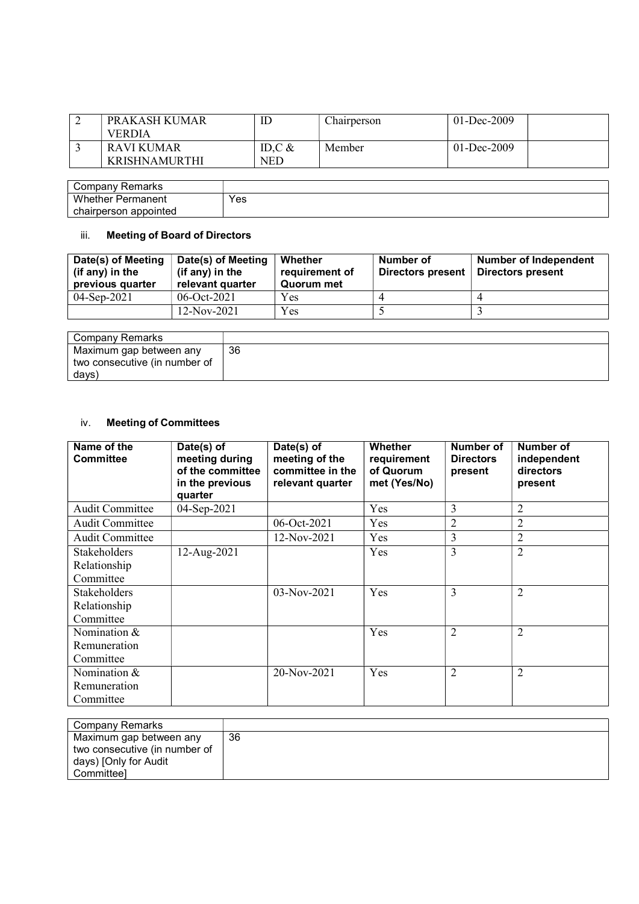| PRAKASH KUMAR<br><b>VERDIA</b>     | ட               | Chairperson | 01-Dec-2009     |
|------------------------------------|-----------------|-------------|-----------------|
| RAVI KUMAR<br><b>KRISHNAMURTHI</b> | ID.C $&$<br>NED | Member      | $01 - Dec-2009$ |

| Company Remarks       |     |
|-----------------------|-----|
| Whether<br>Permanent  | Yes |
| chairperson appointed |     |

# iii. Meeting of Board of Directors

| Date(s) of Meeting<br>(if any) in the<br>previous quarter | Date(s) of Meeting<br>(if any) in the<br>relevant quarter | Whether<br>requirement of<br>Quorum met | Number of<br>Directors present | Number of Independent<br>Directors present |
|-----------------------------------------------------------|-----------------------------------------------------------|-----------------------------------------|--------------------------------|--------------------------------------------|
| $04-Sep-2021$                                             | $06-Oct-2021$                                             | Yes                                     |                                |                                            |
|                                                           | $12-Nov-2021$                                             | <b>Yes</b>                              |                                |                                            |

| Company Remarks               |    |
|-------------------------------|----|
| Maximum gap between any       | 36 |
| two consecutive (in number of |    |
| davs)                         |    |

# iv. Meeting of Committees

| Name of the<br><b>Committee</b> | Date(s) of<br>meeting during<br>of the committee<br>in the previous<br>quarter | Date(s) of<br>meeting of the<br>committee in the<br>relevant quarter | Whether<br>requirement<br>of Quorum<br>met (Yes/No) | Number of<br><b>Directors</b><br>present | Number of<br>independent<br>directors<br>present |
|---------------------------------|--------------------------------------------------------------------------------|----------------------------------------------------------------------|-----------------------------------------------------|------------------------------------------|--------------------------------------------------|
| <b>Audit Committee</b>          | 04-Sep-2021                                                                    |                                                                      | Yes                                                 | 3                                        | 2                                                |
| Audit Committee                 |                                                                                | 06-Oct-2021                                                          | Yes                                                 | $\overline{2}$                           | $\overline{2}$                                   |
| <b>Audit Committee</b>          |                                                                                | 12-Nov-2021                                                          | <b>Yes</b>                                          | 3                                        | $\overline{2}$                                   |
| Stakeholders                    | 12-Aug-2021                                                                    |                                                                      | Yes                                                 | 3                                        | $\overline{2}$                                   |
| Relationship                    |                                                                                |                                                                      |                                                     |                                          |                                                  |
| Committee                       |                                                                                |                                                                      |                                                     |                                          |                                                  |
| Stakeholders                    |                                                                                | 03-Nov-2021                                                          | Yes                                                 | 3                                        | $\overline{2}$                                   |
| Relationship                    |                                                                                |                                                                      |                                                     |                                          |                                                  |
| Committee                       |                                                                                |                                                                      |                                                     |                                          |                                                  |
| Nomination &                    |                                                                                |                                                                      | Yes                                                 | 2                                        | $\overline{2}$                                   |
| Remuneration                    |                                                                                |                                                                      |                                                     |                                          |                                                  |
| Committee                       |                                                                                |                                                                      |                                                     |                                          |                                                  |
| Nomination &                    |                                                                                | 20-Nov-2021                                                          | Yes                                                 | 2                                        | 2                                                |
| Remuneration                    |                                                                                |                                                                      |                                                     |                                          |                                                  |
| Committee                       |                                                                                |                                                                      |                                                     |                                          |                                                  |

| Company Remarks                                                                                 |    |
|-------------------------------------------------------------------------------------------------|----|
| Maximum gap between any<br>two consecutive (in number of<br>days) [Only for Audit<br>Committeel | 36 |